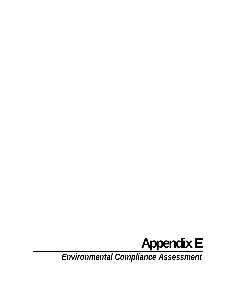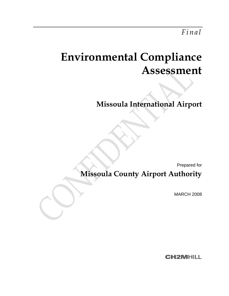# **Environmental Compliance Assessment**

**Missoula International Airport** 

Prepared for

**Missoula County Airport Authority** 

MARCH 2008

**CH2MHILL**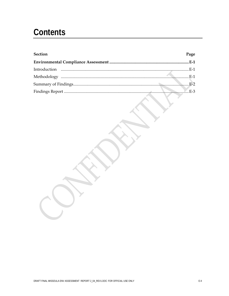## **Contents**

| <b>Section</b> | Page |
|----------------|------|
|                |      |
|                |      |
|                |      |
|                |      |
|                |      |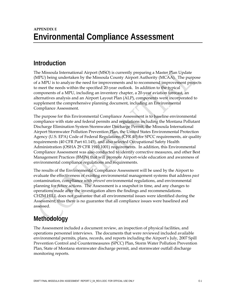### **APPENDIX E Environmental Compliance Assessment**

### **Introduction**

The Missoula International Airport (MSO) is currently preparing a Master Plan Update (MPU) being undertaken by the Missoula County Airport Authority (MCAA). The purpose of a MPU is to analyze the need for improvements and to recommend improvement projects to meet the needs within the specified 20-year outlook. In addition to the typical components of a MPU, including an inventory chapter, a 20-year aviation forecast, an alternatives analysis and an Airport Layout Plan (ALP), components were incorporated to supplement the comprehensive planning document, including an Environmental Compliance Assessment.

The purpose for this Environmental Compliance Assessment is to baseline environmental compliance with state and federal permits and regulations including the Montana Pollutant Discharge Elimination System Stormwater Discharge Permit, the Missoula International Airport Stormwater Pollution Prevention Plan, the United States Environmental Protection Agency (U.S. EPA) Code of Federal Regulations (CFR 40) for SPCC requirements, air quality requirements (40 CFR Part 61.145), and also selected Occupational Safety Health Administration (OSHA 29 CFR 1910.1001) requirements. In addition, this Environmental Compliance Assessment was also conducted to identify corrective measures, and other Best Management Practices (BMPs) that will promote Airport-wide education and awareness of environmental compliance regulations and requirements.

The results of the Environmental Compliance Assessment will be used by the Airport to evaluate the effectiveness of existing environmental management systems that address *past*  contamination, compliance with *present* environmental regulations, and environmental planning for *future* actions. The Assessment is a snapshot in time, and any changes to operations made after the investigation alters the findings and recommendations. CH2M HILL does not guarantee that all environmental issues were identified during the Assessment; thus there is no guarantee that all compliance issues were baselined and assessed.

### **Methodology**

The Assessment included a document review, an inspection of physical facilities, and operations personnel interviews. The documents that were reviewed included available environmental permits, plans, records, and reports including the Airport's July, 2007 Spill Prevention Control and Countermeasures (SPCC) Plan, Storm Water Pollution Prevention Plan, State of Montana stormwater discharge permit, and stormwater outfall discharge monitoring reports.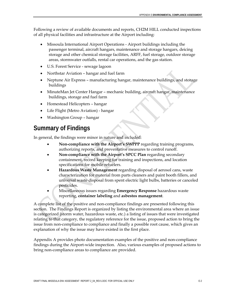Following a review of available documents and reports, CH2M HILL conducted inspections of all physical facilities and infrastructure at the Airport including:

- Missoula International Airport Operations Airport buildings including the passenger terminal, aircraft hangars, maintenance and storage hangars, deicing storage and other chemical storage facilities, ARFF, fuel storage, outdoor storage areas, stormwater outfalls, rental car operations, and the gas station.
- U.S. Forest Service sewage lagoon
- Northstar Aviation hangar and fuel farm
- Neptune Air Express manufacturing hangar, maintenance buildings, and storage buildings
- MinuteMan Jet Center Hangar mechanic building, aircraft hangar, maintenance buildings, storage and fuel farm
- Homestead Helicopters hangar
- Life Flight (Metro Aviation) hangar
- Washington Group hangar

### **Summary of Findings**

In general, the findings were minor in nature and included:

- **Non-compliance with the Airport's SWPPP** regarding training programs, authorizing reports, and preventative measures to control runoff.
- **Non-compliance with the Airport's SPCC Plan** regarding secondary containment, record keeping for training and inspections, and location specifications for mobile refuelers.
- **Hazardous Waste Management** regarding disposal of aerosol cans, waste characterization for material from parts cleaners and paint booth fillers, and universal waste disposal from spent electric light bulbs, batteries or canceled pesticides.
- Miscellaneous issues regarding **Emergency Response** hazardous waste reporting, **container labeling** and **asbestos management**.

A complete list of the positive and non-compliance findings are presented following this section. The Findings Report is organized by listing the environmental area where an issue is categorized (storm water, hazardous waste, etc.) a listing of issues that were investigated relating to that category, the regulatory reference for the issue, proposed action to bring the issue from non-compliance to compliance and finally a possible root cause, which gives an explanation of why the issue may have existed in the first place.

Appendix A provides photo documentation examples of the positive and non-compliance findings during the Airport-wide inspection. Also, various examples of proposed actions to bring non-compliance areas to compliance are provided.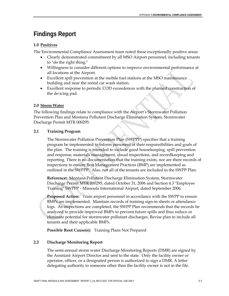### **Findings Report**

#### **1.0 Positives**

The Environmental Compliance Assessment team noted these exceptionally positive areas:

- Clearly demonstrated commitment by all MSO Airport personnel, including tenants to "do the right thing."
- Willingness to consider different options to improve environmental performance at all locations at the Airport.
- Excellent spill prevention at the mobile fuel stations at the MSO maintenance building and near the rental car wash station.
- Excellent response to periodic COD exceedences with the planned construction of the de-icing pad.

#### **2.0 Storm Water**

The following findings relate to compliance with the Airport's Stormwater Pollution Prevention Plan and Montana Pollutant Discharge Elimination System, Stormwater Discharge Permit MTR 000295.

#### **2.1 Training Program**

The Stormwater Pollution Prevention Plan (SWPPP) specifies that a training program be implemented to inform personnel of their responsibilities and goals of the plan. The training is intended to include good housekeeping, spill prevention and response, materials management, visual inspections, and recordkeeping and reporting. There is no documentation that the training exists, nor are there records of inspections to ensure Best Management Practices (BMP) are implemented as outlined in the SWPPP. Also, not all of the tenants are included in the SWPP Plan.

**Reference:** Montana Pollutant Discharge Elimination System, Stormwater Discharge Permit MTR 000295, dated October 31, 2006 and Section 4.3 "Employee Training" SWPPP - Missoula International Airport, dated September 2006.

**Proposed Action:** Train airport personnel in accordance with the SWPP to ensure BMPs are implemented. Maintain records of training sign-in sheets or attendance logs. As inspections are completed, the SWPP Plan recommends that the records be analyzed to provide improved BMPs to prevent future spills and thus reduce or eliminate potential for stormwater pollutant discharges. Revise plan to include all tenants and their applicable BMPs.

**Possible Root Cause(s):** Training Plans Not Prepared

#### **2.2 Discharge Monitoring Report**

The semi-annual storm water Discharge Monitoring Reports (DMR) are signed by the Assistant Airport Director and sent to the state. Only the facility owner or operator, officer, or a designated person is authorized to sign a DMR. A letter delegating authority to someone other than the facility owner is not in the file.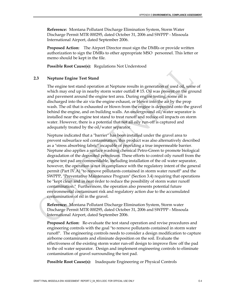**Reference:** Montana Pollutant Discharge Elimination System, Storm Water Discharge Permit MTR 000295, dated October 31, 2006 and SWPPP - Missoula International Airport, dated September 2006.

**Proposed Action:** The Airport Director must sign the DMRs or provide written authorization to sign the DMRs to other appropriate MSO personnel. This letter or memo should be kept in the file.

**Possible Root Cause(s):** Regulations Not Understood

#### **2.3 Neptune Engine Test Stand**

The engine test stand operation at Neptune results in generation of used oil, some of which may end up in nearby storm water outfall #15. Oil was present on the ground and pavement around the engine test area. During engine testing, some oil is discharged into the air via the engine exhaust, or blown into the air by the prop wash. The oil that is exhausted or blown from the engine is deposited onto the gravel behind the engine, and on building walls. An underground oil/water separator is installed near the engine test stand to treat runoff and reduce oil impacts on storm water. However, there is a potential that not all oily run-off is captured and adequately treated by the oil/water separator.

Neptune indicated that a "barrier" has been installed under the gravel area to prevent subsurface soil contamination; this product was also alternatively described as a "stress absorbing fabric" incapable of providing a true impermeable barrier. Neptune also applies a surface washing chemical Petro-Green to promote biological degradation of the deposited petroleum. These efforts to control oily runoff from the engine test pad are commendable, including installation of the oil water separator, however, the operation is not in compliance with the regulatory intent of the general permit (Part IV.A) "to remove pollutants contained in storm water runoff" and the SWPPP, "Preventative Maintenance Program" (Section 3.4) requiring that operations be "kept clean and in neat order to reduce the possibility of storm water runoff contamination." Furthermore, the operation also presents potential future environmental contaminant risk and regulatory action due to the accumulated contamination of oil in the gravel.

**Reference:** Montana Pollutant Discharge Elimination System, Storm water Discharge Permit MTR 000295, dated October 31, 2006 and SWPPP - Missoula International Airport, dated September 2006.

**Proposed Action:** Re-evaluate the test stand operation and revise procedures and engineering controls with the goal "to remove pollutants contained in storm water runoff". The engineering controls needs to consider a design modification to capture airborne contaminants and eliminate deposition on the soil. Evaluate the effectiveness of the existing storm water run-off design to improve flow off the pad to the oil water separator. Design and implement engineering controls to eliminate contamination of gravel surrounding the test pad.

**Possible Root Cause(s):** Inadequate Engineering or Physical Controls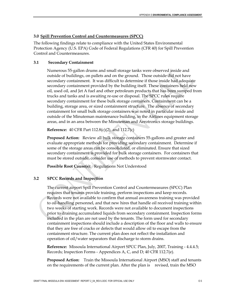#### **3.0 Spill Prevention Control and Countermeasures (SPCC)**

The following findings relate to compliance with the United States Environmental Protection Agency (U.S. EPA) Code of Federal Regulations (CFR 40) for Spill Prevention Control and Countermeasures.

#### **3.1 Secondary Containment**

Numerous 55-gallon drums and small storage tanks were observed inside and outside of buildings, on pallets and on the ground. Those outside did not have secondary containment. It was difficult to determine if those inside had adequate secondary containment provided by the building itself. These containers held new oil, used oil, and Jet A fuel and other petroleum products that has been sumped from trucks and tanks and is awaiting re-use or disposal. The SPCC rules require secondary containment for these bulk storage containers. Containment can be a building, storage area, or sized containment structure. The absence of secondary containment for small bulk storage containers was noted in particular inside and outside of the Minuteman maintenance building, in the Airlines equipment storage areas, and in an area between the Minuteman and Aerotronics storage buildings.

**Reference:** 40 CFR Part 112.8(c)(2), and 112.7(c)

**Proposed Action:** Review all bulk storage containers 55-gallons and greater and evaluate appropriate methods for providing secondary containment. Determine if some of the storage areas can be consolidated, or eliminated. Ensure that sized secondary containment is provided for bulk storage containers. For containers that must be stored outside, consider use of methods to prevent stormwater contact.

**Possible Root Cause(s):** Regulations Not Understood

#### **3.2 SPCC Records and Inspection**

The current airport Spill Prevention Control and Countermeasures (SPCC) Plan requires that tenants provide training, perform inspections and keep records. Records were not available to confirm that annual awareness training was provided to oil-handling personnel, and that new hires that handle oil received training within two weeks of starting work. Records were not available to document inspections prior to draining accumulated liquids from secondary containment. Inspection forms included in the plan are not used by the tenants. The form used for secondary containment inspections should include a description of the floor and walls to ensure that they are free of cracks or defects that would allow oil to escape from the containment structure. The current plan does not reflect the installation and operation of oil/water separators that discharge to storm drains.

**Reference:** Missoula International Airport SPCC Plan, July, 2007, Training - 4.4.4.5; Records; Inspection Forms - Appendices A, C, and D; 40 CFR 112.7(e).

**Proposed Action:** Train the Missoula International Airport (MSO) staff and tenants on the requirements of the current plan. After the plan is revised, train the MSO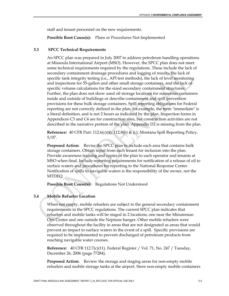staff and tenant personnel on the new requirements.

**Possible Root Cause(s):** Plans or Procedures Not Implemented

#### **3.3 SPCC Technical Requirements**

An SPCC plan was prepared in July 2007 to address petroleum handling operations at Missoula International Airport (MSO). However, the SPCC plan does not meet some technical requirements required by the regulations. These include the lack of secondary containment drainage procedures and logging of results, the lack of specific tank integrity testing (i.e., API test methods), the lack of level monitoring and inspections for 55-gallon and other small storage containers, and the lack of specific volume calculations for the sized secondary containment structures. Further, the plan does not show used oil storage locations for numerous containers inside and outside of buildings or describe containment and spill prevention provisions for these bulk storage containers. Spill reporting obligations for Federal reporting are not correctly defined in the plan; for example, the term "immediate" is a literal definition, and is not 2 hours as indicated by the plan. Inspection forms in Appendices C3 and C4 are for construction sites, but construction activities are not described in the narrative portion of the plan. Appendix D2 is missing from the plan.

**Reference:** 40 CFR Part: 112.6(c)(4), 112.8(b) & (c); Montana Spill Reporting Policy, 5/07.

**Proposed Action:** Revise the SPCC plan to include each area that contains bulk storage containers. Obtain input from each tenant for inclusion into the plan. Provide awareness training and copies of the plan to each operator and tenants at MSO when final. Include reporting requirements for notification of a release of oil to surface waters and procedures for reporting to the National Response Center. Notification of spills to navigable waters is the responsibility of the owner, not the MTDEQ.

**Possible Root Cause(s):** Regulations Not Understood

#### **3.4 Mobile Refueler Location**

When not empty, mobile refuelers are subject to the general secondary containment requirements in the SPCC regulations. The current SPCC plan indicates that refuelers and mobile tanks will be staged in 2 locations; one near the Minuteman Ops Center and one outside the Neptune hanger. Other mobile refuelers were observed throughout the facility in areas that are not designated as areas that would prevent an impact to surface waters in the event of a spill. Specific provisions are required to be implemented to prevent discharged of petroleum products from reaching navigable water courses.

**Reference:** 40 CFR 112.7(c)(11). Federal Register / Vol. 71, No. 247 / Tuesday, December 26, 2006 (page 77284).

**Proposed Action:** Review the storage and staging areas for non-empty mobile refuelers and mobile storage tanks at the airport. Store non-empty mobile containers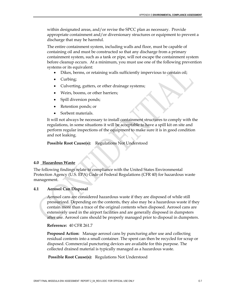within designated areas, and/or revise the SPCC plan as necessary. Provide appropriate containment and/or diversionary structures or equipment to prevent a discharge that may be harmful.

The entire containment system, including walls and floor, must be capable of containing oil and must be constructed so that any discharge from a primary containment system, such as a tank or pipe, will not escape the containment system before cleanup occurs. At a minimum, you must use one of the following prevention systems or its equivalent:

- Dikes, berms, or retaining walls sufficiently impervious to contain oil;
- Curbing;
- Culverting, gutters, or other drainage systems;
- Weirs, booms, or other barriers;
- Spill diversion ponds;
- Retention ponds; or
- Sorbent materials.

It will not always be necessary to install containment structures to comply with the regulations, in some situations it will be acceptable to have a spill kit on site and perform regular inspections of the equipment to make sure it is in good condition and not leaking.

Possible Root Cause(s): Regulations Not Understood

#### **4.0 Hazardous Waste**

The following findings relate to compliance with the United States Environmental Protection Agency (U.S. EPA) Code of Federal Regulations (CFR 40) for hazardous waste management.

#### **4.1 Aerosol Can Disposal**

Aerosol cans are considered hazardous waste if they are disposed of while still pressurized. Depending on the contents, they also may be a hazardous waste if they contain more than a trace of the original contents when disposed. Aerosol cans are extensively used in the airport facilities and are generally disposed in dumpsters after use. Aerosol cans should be properly managed prior to disposal in dumpsters.

**Reference:** 40 CFR 261.7

**Proposed Action:** Manage aerosol cans by puncturing after use and collecting residual contents into a small container. The spent can then be recycled for scrap or disposed. Commercial puncturing devices are available for this purpose. The collected drained material is typically managed as a hazardous waste.

 **Possible Root Cause(s):** Regulations Not Understood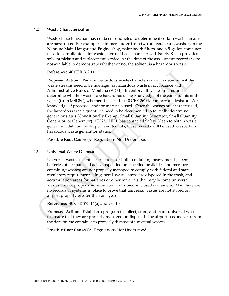#### **4.2 Waste Characterization**

Waste characterization has not been conducted to determine if certain waste streams are hazardous. For example, skimmer sludge from two aqueous parts washers in the Neptune Main Hangar and Engine shop, paint booth filters, and a 5-gallon container used to consolidate paint waste have not been characterized. Safety Kleen provides solvent pickup and replacement service. At the time of the assessment, records were not available to demonstrate whether or not the solvent is a hazardous waste.

**Reference:** 40 CFR 262.11

**Proposed Action:** Perform hazardous waste characterization to determine if the waste streams need to be managed as hazardous waste in accordance with Administrative Rules of Montana (ARM). Inventory all waste streams and determine whether wastes are hazardous using knowledge of the constituents of the waste (from MSDSs); whether it is listed in 40 CFR 261; laboratory analysis; and/or knowledge of processes and/or materials used. Once the wastes are characterized, the hazardous waste quantities need to be documented to formally determine generator status (Conditionally Exempt Small Quantity Generator, Small Quantity Generator, or Generator). CH2M HILL has contacted Safety Kleen to obtain waste generation data on the Airport and tenants; these records will be used to ascertain hazardous waste generation status.

**Possible Root Cause(s):** Regulations Not Understood

#### **4.3 Universal Waste Disposal**

Universal wastes (spent electric tubes or bulbs containing heavy metals, spent batteries other than lead acid, suspended or cancelled pesticides and mercury containing wastes) are not properly managed to comply with federal and state regulatory requirements. In general, waste lamps are disposed in the trash, and accumulation areas for batteries or other materials that may become universal wastes are not properly accumulated and stored in closed containers. Also there are no records or systems in place to prove that universal wastes are not stored on airport property greater than one year.

**Reference:** 40 CFR 273.14(a) and 273.15

**Proposed Action:** Establish a program to collect, store, and mark universal wastes to ensure that they are properly managed or disposed. The airport has one year from the date on the container to properly dispose of universal wastes.

**Possible Root Cause(s):** Regulations Not Understood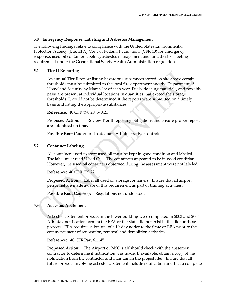#### **5.0 Emergency Response, Labeling and Asbestos Management**

The following findings relate to compliance with the United States Environmental Protection Agency (U.S. EPA) Code of Federal Regulations (CFR 40) for emergency response, used oil container labeling, asbestos management and an asbestos labeling requirement under the Occupational Safety Health Administration regulations.

#### **5.1 Tier II Reporting**

An annual Tier II report listing hazardous substances stored on site above certain thresholds must be submitted to the local fire department and the Department of Homeland Security by March 1st of each year. Fuels, de-icing materials, and possibly paint are present at individual locations in quantities that exceed the storage thresholds. It could not be determined if the reports were submitted on a timely basis and listing the appropriate substances.

**Reference:** 40 CFR 370.20; 370.21

**Proposed Action:** Review Tier II reporting obligations and ensure proper reports are submitted on time.

**Possible Root Cause(s):** Inadequate Administrative Controls

#### **5.2 Container Labeling**

All containers used to store used oil must be kept in good condition and labeled. The label must read "Used Oil". The containers appeared to be in good condition. However, the used oil containers observed during the assessment were not labeled.

**Reference:** 40 CFR 279.22

**Proposed Action:** Label all used oil storage containers. Ensure that all airport personnel are made aware of this requirement as part of training activities.

Possible Root Cause(s): Regulations not understood

#### **5.3 Asbestos Abatement**

Asbestos abatement projects in the tower building were completed in 2003 and 2006. A 10-day notification form to the EPA or the State did not exist in the file for these projects. EPA requires submittal of a 10-day notice to the State or EPA prior to the commencement of renovation, removal and demolition activities.

**Reference:** 40 CFR Part 61.145

**Proposed Action:** The Airport or MSO staff should check with the abatement contractor to determine if notification was made. If available, obtain a copy of the notification from the contractor and maintain in the project files. Ensure that all future projects involving asbestos abatement include notification and that a complete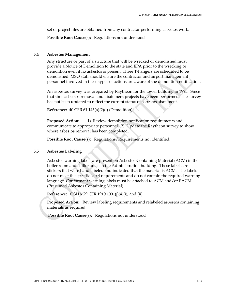set of project files are obtained from any contractor performing asbestos work.

**Possible Root Cause(s):** Regulations not understood

#### **5.4 Asbestos Management**

Any structure or part of a structure that will be wrecked or demolished must provide a Notice of Demolition to the state and EPA prior to the wrecking or demolition even if no asbestos is present. Three T-hangers are scheduled to be demolished. MSO staff should ensure the contractor and airport management personnel involved in these types of actions are aware of the demolition notification.

An asbestos survey was prepared by Raytheon for the tower building in 1995. Since that time asbestos removal and abatement projects have been performed. The survey has not been updated to reflect the current status of asbestos abatement.

**Reference:** 40 CFR 61.145(a)(2)(i) (Demolition)

**Proposed Action:** 1). Review demolition notification requirements and communicate to appropriate personnel. 2). Update the Raytheon survey to show where asbestos removal has been completed.

**Possible Root Cause(s):** Regulations/Requirements not identified.

#### **5.5 Asbestos Labeling**

Asbestos warning labels are present on Asbestos Containing Material (ACM) in the boiler room and chiller areas in the Administration building. These labels are stickers that were hand labeled and indicated that the material is ACM. The labels do not meet the specific label requirements and do not contain the required warning language. Conformant warning labels must be attached to ACM and/or PACM (Presumed Asbestos Containing Material).

**Reference:** OSHA 29 CFR 1910.1001(j)(4)(i), and (ii)

**Proposed Action:** Review labeling requirements and relabeled asbestos containing materials as required.

 **Possible Root Cause(s):** Regulations not understood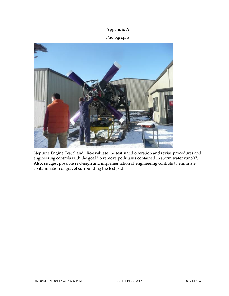#### **Appendix A**

#### Photographs



Neptune Engine Test Stand: Re-evaluate the test stand operation and revise procedures and engineering controls with the goal "to remove pollutants contained in storm water runoff". Also, suggest possible re-design and implementation of engineering controls to eliminate contamination of gravel surrounding the test pad.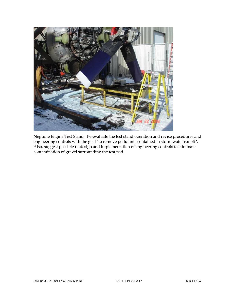

Neptune Engine Test Stand: Re-evaluate the test stand operation and revise procedures and engineering controls with the goal "to remove pollutants contained in storm water runoff". Also, suggest possible re-design and implementation of engineering controls to eliminate contamination of gravel surrounding the test pad.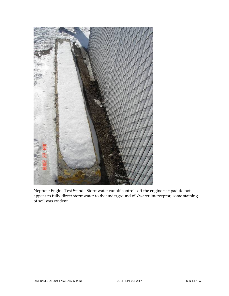

Neptune Engine Test Stand: Stormwater runoff controls off the engine test pad do not appear to fully direct stormwater to the underground oil/water interceptor; some staining of soil was evident.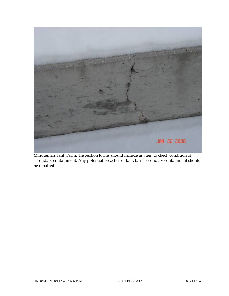

Minuteman Tank Farm: Inspection forms should include an item to check condition of secondary containment. Any potential breaches of tank farm secondary containment should be repaired.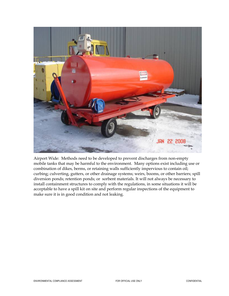

Airport Wide: Methods need to be developed to prevent discharges from non-empty mobile tanks that may be harmful to the environment. Many options exist including use or combination of dikes, berms, or retaining walls sufficiently impervious to contain oil; curbing; culverting, gutters, or other drainage systems; weirs, booms, or other barriers; spill diversion ponds; retention ponds; or sorbent materials. It will not always be necessary to install containment structures to comply with the regulations, in some situations it will be acceptable to have a spill kit on site and perform regular inspections of the equipment to make sure it is in good condition and not leaking.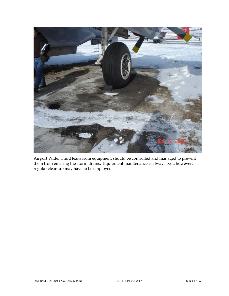

Airport Wide: Fluid leaks from equipment should be controlled and managed to prevent them from entering the storm drains. Equipment maintenance is always best, however, regular clean-up may have to be employed.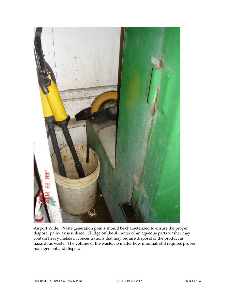

Airport Wide: Waste generation points should be characterized to ensure the proper disposal pathway is utilized. Sludge off the skimmer of an aqueous parts washer may contain heavy metals in concentrations that may require disposal of the product as hazardous waste. The volume of the waste, no matter how minimal, still requires proper management and disposal.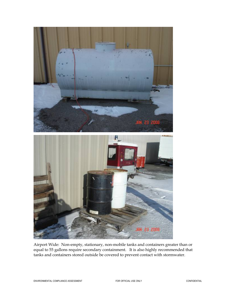

Airport Wide: Non-empty, stationary, non-mobile tanks and containers greater than or equal to 55 gallons require secondary containment. It is also highly recommended that tanks and containers stored outside be covered to prevent contact with stormwater.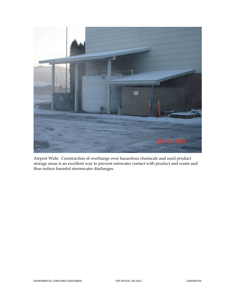

Airport Wide: Construction of overhangs over hazardous chemicals and used product storage areas is an excellent way to prevent rainwater contact with product and waste and thus reduce harmful stormwater discharges.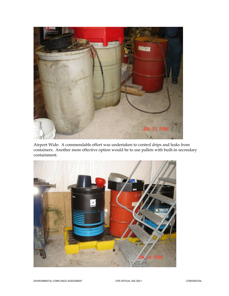

Airport Wide: A commendable effort was undertaken to control drips and leaks from containers. Another more effective option would be to use pallets with built-in secondary containment.

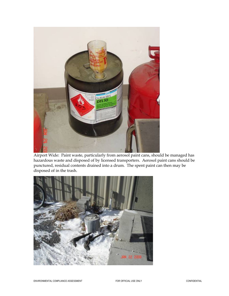

Airport Wide: Paint waste, particularly from aerosol paint cans, should be managed has hazardous waste and disposed of by licensed transporters. Aerosol paint cans should be punctured, residual contents drained into a drum. The spent paint can then may be disposed of in the trash.

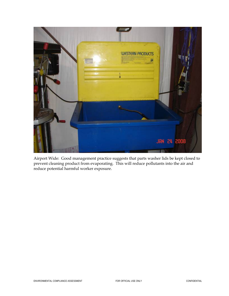

Airport Wide: Good management practice suggests that parts washer lids be kept closed to prevent cleaning product from evaporating. This will reduce pollutants into the air and reduce potential harmful worker exposure.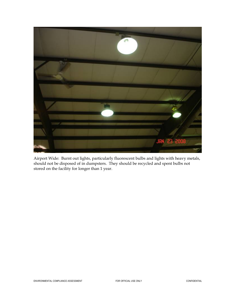

Airport Wide: Burnt out lights, particularly fluorescent bulbs and lights with heavy metals, should not be disposed of in dumpsters. They should be recycled and spent bulbs not stored on the facility for longer than 1 year.